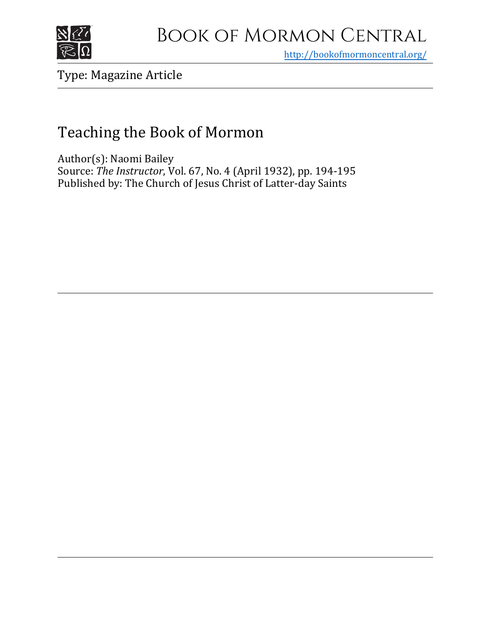

## Book of Mormon Central

<http://bookofmormoncentral.org/>

Type: Magazine Article

## Teaching the Book of Mormon

Author(s): Naomi Bailey Source: *The Instructor*, Vol. 67, No. 4 (April 1932), pp. 194-195 Published by: The Church of Jesus Christ of Latter-day Saints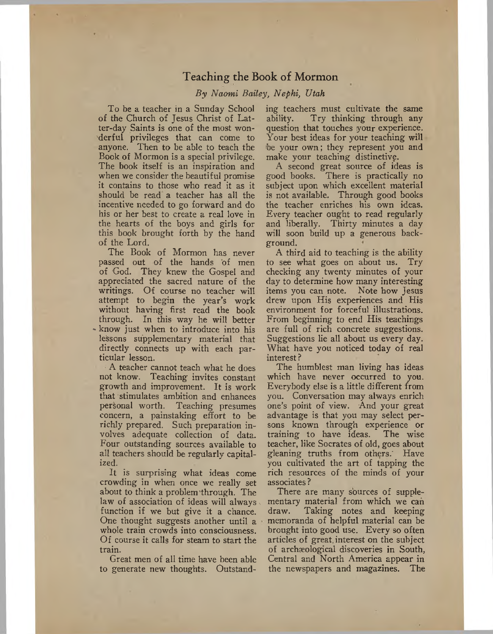## Teaching the Book of Mormon

## *By Naomi Bailey, Nephi, Utah*

To be a teacher in a Sunday School of the Church of Jesus Christ of Latter-day Saints is one of the most wonderful privileges that can come to anyone. Then to be able to teach the Book of Mormon is a special privilege. The book itself is an inspiration and when we consider the beautiful promise it contains to those who read it as it should be read a teacher has all the incentive needed to go forward and do his or her best to create a real love in the hearts of the boys and girls for this book brought forth by the hand of the Lord.

The Book of Mormon has never passed out of the hands of men of God. They knew the Gospel and appreciated the sacred nature of the writings. Of course no teacher will attempt to begin the year's work without having first read the book through. In this way he will better • know just when to introduce into his lessons supplementary material that directly connects up with each particular lesson.

A teacher cannot teach what he does not know. Teaching invites constant growth and improvement. It is work that stimulates ambition and enhances personal worth. Teaching presumes concern, a painstaking effort to be richly prepared. Such preparation involves adequate collection of data. Four outstanding sources available to all teachers should be regularly capitalized.

It is surprising what ideas come crowding in when once we really set about to think a problem'through. The law of association of ideas will always function if we but give it a chance. One thought suggests another until a whole train crowds into consciousness. Of course it calls for steam to start the train.

Great men of all time have been able to generate new thoughts. Outstanding teachers must cultivate the same ability. Try thinking through any question that touches your experience. Your best ideas for your teaching will 'be your own; they represent you and make your teaching distinctive.

A second great source of ideas is good books. There is practically no subject upon which excellent material is not available. Through good books the teacher enriches his own ideas. Every teacher ought to read regularly and liberally. Thirty minutes a day will soon build up a generous background.

A third aid to teaching is the ability to see what goes on about us. Try checking any twenty minutes of your day to determine how many interesting items you can note. Note how Jesus drew upon His experiences and His environment for forceful illustrations. From beginning to end His teachings are full of rich concrete suggestions. Suggestions lie all about us every day. What have you noticed today of real interest ?

The humblest man living has ideas which have never occurred to you. Everybody else is a little different from you. Conversation may always enrich one's point of view. And your great advantage is that you may select persons known through experience or<br>training to have ideas. The wise training to have ideas. teacher, like Socrates of old, goes about gleaning truths from others.' Have you cultivated the art of tapping the rich resources of the minds of your associates ?

There are many sources of supplementary material from which we can draw. Taking notes and keeping memoranda of helpful material can be brought into good use. Every so often articles of great, interest on the subject of archaeological discoveries in South, Central and North America appear in the newspapers and magazines. The